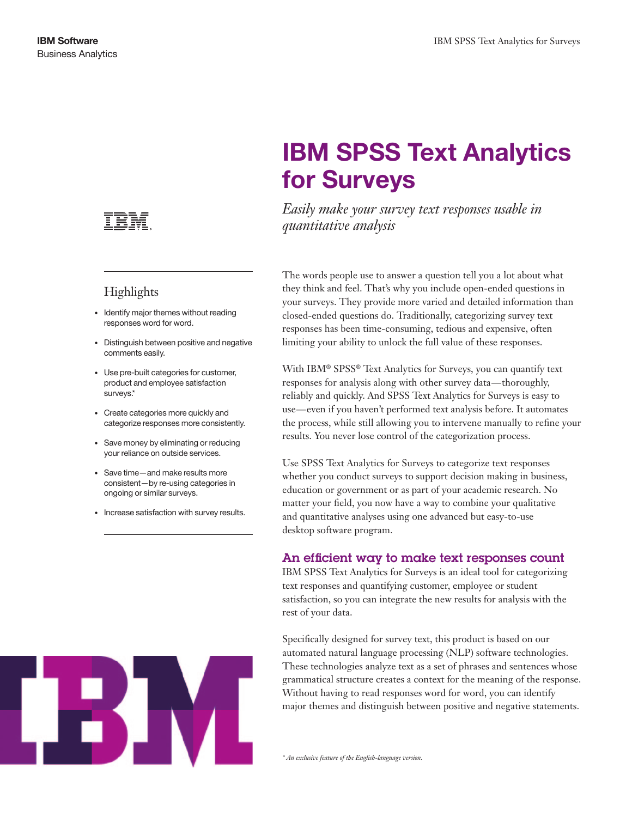

# Highlights

- • Identify major themes without reading responses word for word.
- • Distinguish between positive and negative comments easily.
- • Use pre-built categories for customer, product and employee satisfaction surveys.\*
- • Create categories more quickly and categorize responses more consistently.
- • Save money by eliminating or reducing your reliance on outside services.
- Save time—and make results more consistent—by re-using categories in ongoing or similar surveys.
- • Increase satisfaction with survey results.



for Surveys

The words people use to answer a question tell you a lot about what they think and feel. That's why you include open-ended questions in your surveys. They provide more varied and detailed information than closed-ended questions do. Traditionally, categorizing survey text responses has been time-consuming, tedious and expensive, often limiting your ability to unlock the full value of these responses.

IBM SPSS Text Analytics

With IBM® SPSS® Text Analytics for Surveys, you can quantify text responses for analysis along with other survey data—thoroughly, reliably and quickly. And SPSS Text Analytics for Surveys is easy to use—even if you haven't performed text analysis before. It automates the process, while still allowing you to intervene manually to refine your results. You never lose control of the categorization process.

Use SPSS Text Analytics for Surveys to categorize text responses whether you conduct surveys to support decision making in business, education or government or as part of your academic research. No matter your field, you now have a way to combine your qualitative and quantitative analyses using one advanced but easy-to-use desktop software program.

# An efficient way to make text responses count

IBM SPSS Text Analytics for Surveys is an ideal tool for categorizing text responses and quantifying customer, employee or student satisfaction, so you can integrate the new results for analysis with the rest of your data.

Specifically designed for survey text, this product is based on our automated natural language processing (NLP) software technologies. These technologies analyze text as a set of phrases and sentences whose grammatical structure creates a context for the meaning of the response. Without having to read responses word for word, you can identify major themes and distinguish between positive and negative statements.

*\* An exclusive feature of the English-language version.*

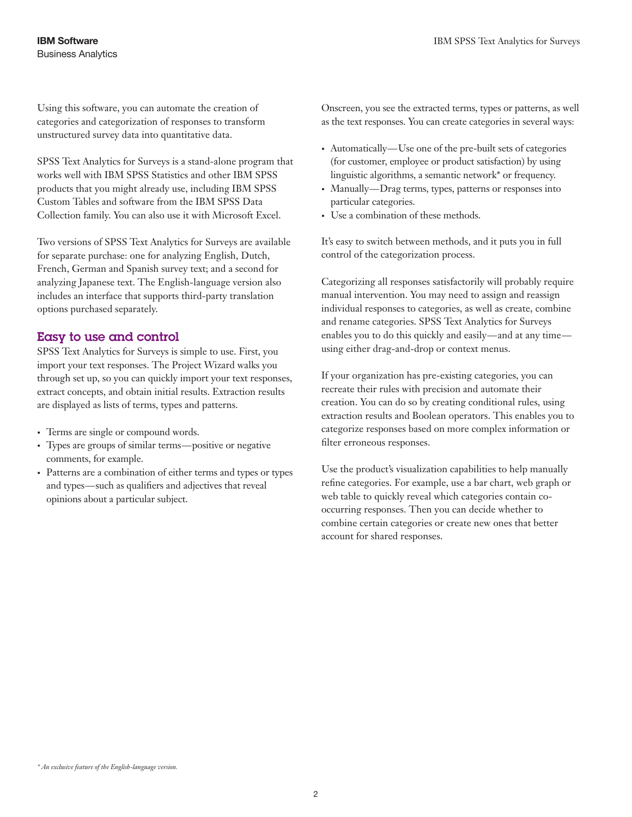Using this software, you can automate the creation of categories and categorization of responses to transform unstructured survey data into quantitative data.

SPSS Text Analytics for Surveys is a stand-alone program that works well with IBM SPSS Statistics and other IBM SPSS products that you might already use, including IBM SPSS Custom Tables and software from the IBM SPSS Data Collection family. You can also use it with Microsoft Excel.

Two versions of SPSS Text Analytics for Surveys are available for separate purchase: one for analyzing English, Dutch, French, German and Spanish survey text; and a second for analyzing Japanese text. The English-language version also includes an interface that supports third-party translation options purchased separately.

# Easy to use and control

SPSS Text Analytics for Surveys is simple to use. First, you import your text responses. The Project Wizard walks you through set up, so you can quickly import your text responses, extract concepts, and obtain initial results. Extraction results are displayed as lists of terms, types and patterns.

- Terms are single or compound words.
- • Types are groups of similar terms—positive or negative comments, for example.
- Patterns are a combination of either terms and types or types and types—such as qualifiers and adjectives that reveal opinions about a particular subject.

Onscreen, you see the extracted terms, types or patterns, as well as the text responses. You can create categories in several ways:

- Automatically—Use one of the pre-built sets of categories (for customer, employee or product satisfaction) by using linguistic algorithms, a semantic network\* or frequency.
- Manually—Drag terms, types, patterns or responses into particular categories.
- Use a combination of these methods.

It's easy to switch between methods, and it puts you in full control of the categorization process.

Categorizing all responses satisfactorily will probably require manual intervention. You may need to assign and reassign individual responses to categories, as well as create, combine and rename categories. SPSS Text Analytics for Surveys enables you to do this quickly and easily—and at any time using either drag-and-drop or context menus.

If your organization has pre-existing categories, you can recreate their rules with precision and automate their creation. You can do so by creating conditional rules, using extraction results and Boolean operators. This enables you to categorize responses based on more complex information or filter erroneous responses.

Use the product's visualization capabilities to help manually refine categories. For example, use a bar chart, web graph or web table to quickly reveal which categories contain cooccurring responses. Then you can decide whether to combine certain categories or create new ones that better account for shared responses.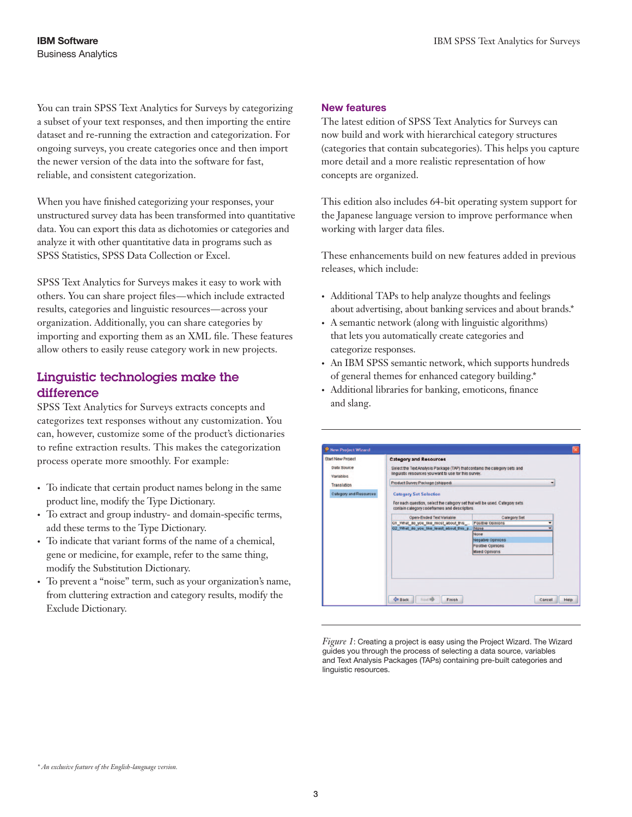You can train SPSS Text Analytics for Surveys by categorizing a subset of your text responses, and then importing the entire dataset and re-running the extraction and categorization. For ongoing surveys, you create categories once and then import the newer version of the data into the software for fast, reliable, and consistent categorization.

When you have finished categorizing your responses, your unstructured survey data has been transformed into quantitative data. You can export this data as dichotomies or categories and analyze it with other quantitative data in programs such as SPSS Statistics, SPSS Data Collection or Excel.

SPSS Text Analytics for Surveys makes it easy to work with others. You can share project files—which include extracted results, categories and linguistic resources—across your organization. Additionally, you can share categories by importing and exporting them as an XML file. These features allow others to easily reuse category work in new projects.

# Linguistic technologies make the difference

SPSS Text Analytics for Surveys extracts concepts and categorizes text responses without any customization. You can, however, customize some of the product's dictionaries to refine extraction results. This makes the categorization process operate more smoothly. For example:

- • To indicate that certain product names belong in the same product line, modify the Type Dictionary.
- • To extract and group industry- and domain-specific terms, add these terms to the Type Dictionary.
- • To indicate that variant forms of the name of a chemical, gene or medicine, for example, refer to the same thing, modify the Substitution Dictionary.
- • To prevent a "noise" term, such as your organization's name, from cluttering extraction and category results, modify the Exclude Dictionary.

#### New features

The latest edition of SPSS Text Analytics for Surveys can now build and work with hierarchical category structures (categories that contain subcategories). This helps you capture more detail and a more realistic representation of how concepts are organized.

This edition also includes 64-bit operating system support for the Japanese language version to improve performance when working with larger data files.

These enhancements build on new features added in previous releases, which include:

- Additional TAPs to help analyze thoughts and feelings about advertising, about banking services and about brands.\*
- • A semantic network (along with linguistic algorithms) that lets you automatically create categories and categorize responses.
- An IBM SPSS semantic network, which supports hundreds of general themes for enhanced category building.\*
- Additional libraries for banking, emoticons, finance and slang.

| <b>Category and Resources</b>                                                                                                                                |                                      |  |  |  |  |  |
|--------------------------------------------------------------------------------------------------------------------------------------------------------------|--------------------------------------|--|--|--|--|--|
| Select the Text Analysis Package (TAP) that contains the category sets and<br>linguistic resources you want to use for this survey.                          |                                      |  |  |  |  |  |
| Product Survey Package (shipped)                                                                                                                             |                                      |  |  |  |  |  |
| <b>Category Set Selection</b><br>For each question, select the category set that will be used. Category sets<br>contain category codeframes and descriptors. |                                      |  |  |  |  |  |
| Open-Ended Text Variable<br><b>Category Set</b>                                                                                                              |                                      |  |  |  |  |  |
|                                                                                                                                                              | Positive Opinions                    |  |  |  |  |  |
| Q2 Vihat do you like least about this p None                                                                                                                 |                                      |  |  |  |  |  |
|                                                                                                                                                              | None                                 |  |  |  |  |  |
|                                                                                                                                                              | <b>Negative Opinions</b>             |  |  |  |  |  |
|                                                                                                                                                              | Positive Opinions                    |  |  |  |  |  |
|                                                                                                                                                              | <b>Mixed Opinions</b>                |  |  |  |  |  |
|                                                                                                                                                              |                                      |  |  |  |  |  |
|                                                                                                                                                              | O1_What_do_you_like_most_about_this_ |  |  |  |  |  |

*Figure 1*: Creating a project is easy using the Project Wizard. The Wizard guides you through the process of selecting a data source, variables and Text Analysis Packages (TAPs) containing pre-built categories and linguistic resources.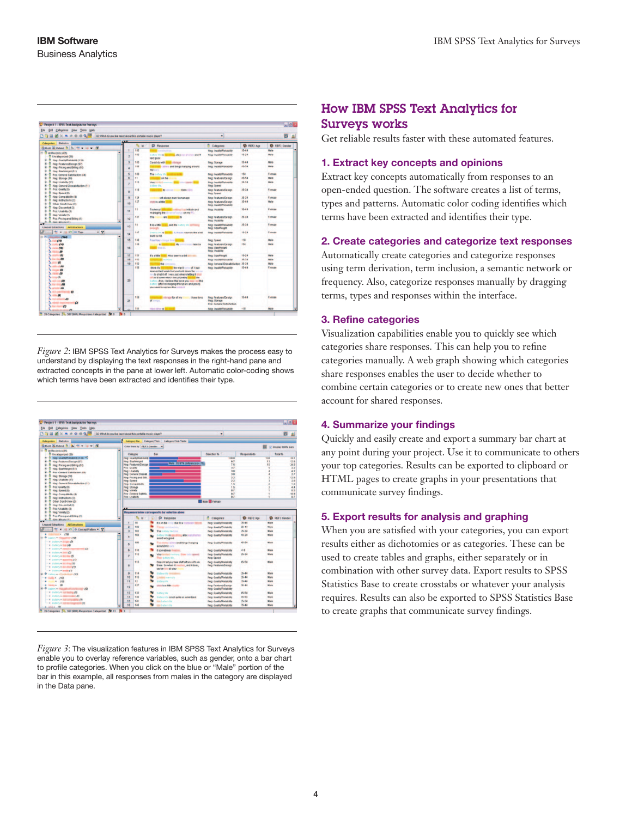

*Figure 2*: IBM SPSS Text Analytics for Surveys makes the process easy to understand by displaying the text responses in the right-hand pane and extracted concepts in the pane at lower left. Automatic color-coding shows which terms have been extracted and identifies their type.

| Project 1 - SPSS Text Analysis for Surveye                                           |                                                             |                                                           |    |                                                                                                            |                                                    |                   |             | 同国語                         |  |
|--------------------------------------------------------------------------------------|-------------------------------------------------------------|-----------------------------------------------------------|----|------------------------------------------------------------------------------------------------------------|----------------------------------------------------|-------------------|-------------|-----------------------------|--|
| Eile Edit Calegories View Tools Help                                                 |                                                             |                                                           |    |                                                                                                            |                                                    |                   |             |                             |  |
| $\times$ a $\theta$ $\theta$ $\theta$ $\frac{\alpha}{2}$                             | 02 What do you like least about this portable music player? |                                                           |    |                                                                                                            | ٠                                                  |                   |             |                             |  |
| Categories Statistics                                                                |                                                             |                                                           |    | Category Bar Category Web Category Web Table                                                               |                                                    |                   |             |                             |  |
| GRAND AL DONNE 2   W. M. M. Sale 1 / N.                                              |                                                             | Color hars by REF3: Gender                                |    |                                                                                                            |                                                    |                   |             | <b>ET Display 100% bars</b> |  |
| <b>B</b> All Records (405)                                                           |                                                             |                                                           |    |                                                                                                            |                                                    |                   |             |                             |  |
| Uncabracetoral (3th)                                                                 |                                                             | Category                                                  |    | <b>Dar</b>                                                                                                 | Delection N. T.                                    | Respondents       |             | Total %                     |  |
| <b>Nag QualityRatuolisty (134) TO</b><br>×<br>Nex Festures/Decion (97)               |                                                             | <b>Neg. GualityRetability</b><br><b>Neg: Size/Vieight</b> |    |                                                                                                            | 100.0<br>6.7                                       |                   | 134<br>13   | 33.1<br>12.8                |  |
| Neg Pricing and Billing (52)<br>×                                                    |                                                             | <b>Neg FestivesCessin</b>                                 |    | Male 55 97% pelecences + 75<br><b>TK</b>                                                                   |                                                    | <b>YD</b>         |             |                             |  |
| ×<br>Near BloedWeight (51)                                                           |                                                             | <b>Pos Qualty</b>                                         |    | <b>SF</b>                                                                                                  |                                                    |                   |             |                             |  |
| Fox Coneral Eatisfactor (44)                                                         |                                                             | <b>Nee Usanda</b>                                         |    |                                                                                                            | 30                                                 |                   |             |                             |  |
| ٠<br>Neg Storage (18)                                                                |                                                             | <b>Neg General Dissuit</b>                                |    |                                                                                                            | 30                                                 |                   |             |                             |  |
| ×<br>Neg Usabile (17)                                                                | Neg Process and Ellis<br><b>Neg Speed</b>                   |                                                           |    |                                                                                                            | 22<br>$\overline{12}$                              |                   |             | 128                         |  |
| Near Oeneral Dissuel sfaction (11)<br>×                                              | Neg Campatisaty                                             |                                                           |    |                                                                                                            | 1.5                                                |                   |             |                             |  |
| ٠<br>Pos: Gualdy (8)                                                                 | <b>Neg Storage</b>                                          |                                                           |    |                                                                                                            | 16                                                 |                   |             |                             |  |
| ×<br>Neg Speed (8)                                                                   | <b>Rieg Vanady</b>                                          |                                                           |    |                                                                                                            | 87                                                 |                   |             |                             |  |
| Neg. Compatibility (4)                                                               |                                                             | Pos: Deneral Sabita.                                      |    |                                                                                                            | <b>b</b> <sub>F</sub>                              |                   |             | 10.9                        |  |
| ×<br><b>Neg Instructions (2)</b>                                                     | <b>Post Usabishi</b>                                        |                                                           |    |                                                                                                            | 0.7                                                |                   |             |                             |  |
| ×<br>Other: Contininew (3)                                                           |                                                             | <b>B</b> Mate <b>B</b> Faircace                           |    |                                                                                                            |                                                    |                   |             |                             |  |
| ٠<br>Neg Discorved CD                                                                |                                                             |                                                           |    |                                                                                                            |                                                    |                   |             |                             |  |
| ٠<br>٠<br>Pos: Usability (3)                                                         |                                                             |                                                           |    |                                                                                                            |                                                    |                   |             |                             |  |
| ×<br>Ning 'stanety (2)                                                               |                                                             | Responses below correspond to bar selection above         |    |                                                                                                            |                                                    |                   |             |                             |  |
| ٠<br>Pos: Pricing and Billing (1)                                                    |                                                             | <b>Th</b> 14                                              |    | CD Response                                                                                                | <b>Categories</b>                                  | <b>D</b> REF2 Apr | ÷           | <b>REF2 Gender</b>          |  |
| <b>Since Minuster (S)</b>                                                            |                                                             | 10 <sub>1</sub>                                           |    | Ent in the court due to a number serious                                                                   |                                                    | $35 - 44$         | Mate        |                             |  |
| <b>Linuxed Eductions All Eductions</b>                                               |                                                             | 100                                                       |    |                                                                                                            | <b>Neg QualityPeteritis</b>                        | $36 - 44$         | Male        |                             |  |
| <b>W W H 3 3 6 Concert Patient W</b>                                                 |                                                             |                                                           |    | <b>Rigardan Carried Garbers</b>                                                                            | Next QualityPletability                            |                   |             |                             |  |
| $-288$<br>٠                                                                          |                                                             | 102                                                       |    | The battery ide time                                                                                       | <b>Neg QualityRelatility</b>                       | 25-34             | Male        |                             |  |
| 山中<br><b>battery # 1994</b><br>$-100$                                                |                                                             | 102                                                       |    | battery ide in min<br><b>MAG</b> cal phones<br><b>Bodg year Press</b>                                      | <b>Neg QualityPerintens</b>                        | 18-24             | Male        |                             |  |
| · Julies · Historical<br># Didling # Bill 240                                        | ×                                                           | 108                                                       |    | <b>Transmission and Bings hanging</b><br><b>ARRAIGNEED FOR STATE</b>                                       | <b>Neg QualityPletation</b>                        | 45.64             | <b>Malé</b> |                             |  |
| * Dallary 4<br>ette                                                                  | s                                                           | 110                                                       |    | <b>E cometimes</b> in                                                                                      | <b>Neg GustfuResability</b>                        | 418               | Mate        |                             |  |
| $\bullet$ pattern $\bullet$ = (2)<br>* Dates * 80.00 (2)                             |                                                             | 112                                                       |    | Vetrantiel memory. Size into openil.<br><b>Free Luttery Mr.</b>                                            | <b>Neg QualityPerintilly</b><br><b>Next Speed</b>  | 35-34             | Male        |                             |  |
| * Defens * North<br>$-40$<br>· Cultury + mill directly<br>. Callery & Mill 2001 (PD) |                                                             | 113                                                       |    | Doesn't let you take stuff off once it's on-<br>there. So when 81<br>saint and it does.<br>you've all your | <b>Neg Gustfullnistoff</b><br>Neg Features/Creston | 15.54             | Mate        |                             |  |
| W Dallery 4 minute (1)<br><b>Dadary # 400mln</b><br>$-100$                           | ٠                                                           | tta                                                       |    | <b>Elation the lines</b>                                                                                   | <b>Neg QualityResurate</b>                         | 35.44             | Mate        |                             |  |
| $1.001 + 7101$                                                                       | 18                                                          | 116                                                       |    | Limited markets                                                                                            | <b>Neg QualityPlebability</b>                      | 36.44             | Male        |                             |  |
| $- 10$                                                                               | Ħ                                                           | 12                                                        |    | <b>Erathery Stle</b>                                                                                       | <b>Neg QualityRetability</b>                       | $35 - 44$         | Mate        |                             |  |
| $+ 10$                                                                               |                                                             | 127                                                       |    | state is a lifty.                                                                                          | Next FinalumiaConign                               | 35.48             | Mate        |                             |  |
| B-9 patery 4.100<br>$-68$                                                            | 12                                                          |                                                           |    |                                                                                                            | <b>Neg: QualityPresubitity</b>                     |                   |             |                             |  |
| . Dallery 4 and indicated                                                            | 13                                                          | $+72$                                                     |    | battery life                                                                                               | Neg QualityResurate                                | 15.54             | Male        |                             |  |
| <b><i>CARDS COM</i></b><br>$-11$                                                     | 14                                                          | 1 all                                                     |    | Datery life to not quite air advertised.                                                                   | <b>Neg QualityPreturiate</b>                       | 45-54             | <b>Male</b> |                             |  |
| * Dates + SET<br>$00 - 200$                                                          | 16                                                          | tat                                                       | ۰, | <b>House Brandwick Life</b>                                                                                | <b>Neg QualityPleast difts</b>                     | 35.34             | Male        |                             |  |
| - Color Follow<br>$-200$                                                             |                                                             |                                                           |    |                                                                                                            |                                                    |                   |             |                             |  |

*Figure 3*: The visualization features in IBM SPSS Text Analytics for Surveys enable you to overlay reference variables, such as gender, onto a bar chart to profile categories. When you click on the blue or "Male" portion of the bar in this example, all responses from males in the category are displayed in the Data pane.

# How IBM SPSS Text Analytics for Surveys works

Get reliable results faster with these automated features.

## 1. Extract key concepts and opinions

Extract key concepts automatically from responses to an open-ended question. The software creates a list of terms, types and patterns. Automatic color coding identifies which terms have been extracted and identifies their type.

# 2. Create categories and categorize text responses

Automatically create categories and categorize responses using term derivation, term inclusion, a semantic network or frequency. Also, categorize responses manually by dragging terms, types and responses within the interface.

## 3. Refine categories

Visualization capabilities enable you to quickly see which categories share responses. This can help you to refine categories manually. A web graph showing which categories share responses enables the user to decide whether to combine certain categories or to create new ones that better account for shared responses.

## 4. Summarize your findings

Quickly and easily create and export a summary bar chart at any point during your project. Use it to communicate to others your top categories. Results can be exported to clipboard or HTML pages to create graphs in your presentations that communicate survey findings.

## 5. Export results for analysis and graphing

When you are satisfied with your categories, you can export results either as dichotomies or as categories. These can be used to create tables and graphs, either separately or in combination with other survey data. Export results to SPSS Statistics Base to create crosstabs or whatever your analysis requires. Results can also be exported to SPSS Statistics Base to create graphs that communicate survey findings.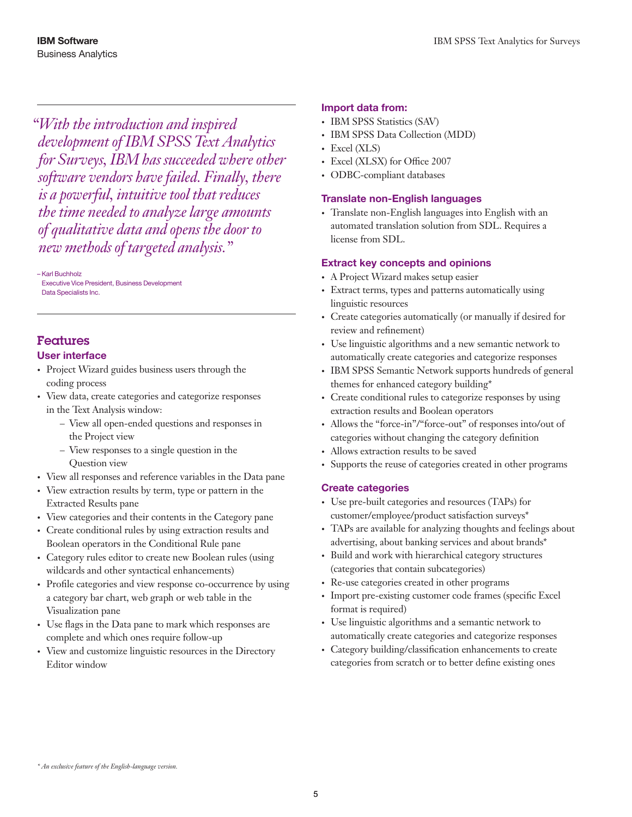*"With the introduction and inspired development of IBM SPSS Text Analytics for Surveys, IBM has succeeded where other software vendors have failed. Finally, there is a powerful, intuitive tool that reduces the time needed to analyze large amounts of qualitative data and opens the door to new methods of targeted analysis."*

– Karl Buchholz Executive Vice President, Business Development Data Specialists Inc.

# Features

#### User interface

- Project Wizard guides business users through the coding process
- • View data, create categories and categorize responses in the Text Analysis window:
	- View all open-ended questions and responses in the Project view
	- View responses to a single question in the Question view
- • View all responses and reference variables in the Data pane
- • View extraction results by term, type or pattern in the Extracted Results pane
- View categories and their contents in the Category pane
- Create conditional rules by using extraction results and Boolean operators in the Conditional Rule pane
- Category rules editor to create new Boolean rules (using wildcards and other syntactical enhancements)
- Profile categories and view response co-occurrence by using a category bar chart, web graph or web table in the Visualization pane
- • Use flags in the Data pane to mark which responses are complete and which ones require follow-up
- • View and customize linguistic resources in the Directory Editor window

#### Import data from:

- IBM SPSS Statistics (SAV)
- IBM SPSS Data Collection (MDD)
- Excel (XLS)
- Excel (XLSX) for Office 2007
- ODBC-compliant databases

#### Translate non-English languages

• Translate non-English languages into English with an automated translation solution from SDL. Requires a license from SDL.

#### Extract key concepts and opinions

- • A Project Wizard makes setup easier
- • Extract terms, types and patterns automatically using linguistic resources
- • Create categories automatically (or manually if desired for review and refinement)
- • Use linguistic algorithms and a new semantic network to automatically create categories and categorize responses
- IBM SPSS Semantic Network supports hundreds of general themes for enhanced category building\*
- Create conditional rules to categorize responses by using extraction results and Boolean operators
- • Allows the "force-in"/"force-out" of responses into/out of categories without changing the category definition
- • Allows extraction results to be saved
- • Supports the reuse of categories created in other programs

## Create categories

- • Use pre-built categories and resources (TAPs) for customer/employee/product satisfaction surveys\*
- TAPs are available for analyzing thoughts and feelings about advertising, about banking services and about brands\*
- • Build and work with hierarchical category structures (categories that contain subcategories)
- Re-use categories created in other programs
- • Import pre-existing customer code frames (specific Excel format is required)
- • Use linguistic algorithms and a semantic network to automatically create categories and categorize responses
- • Category building/classification enhancements to create categories from scratch or to better define existing ones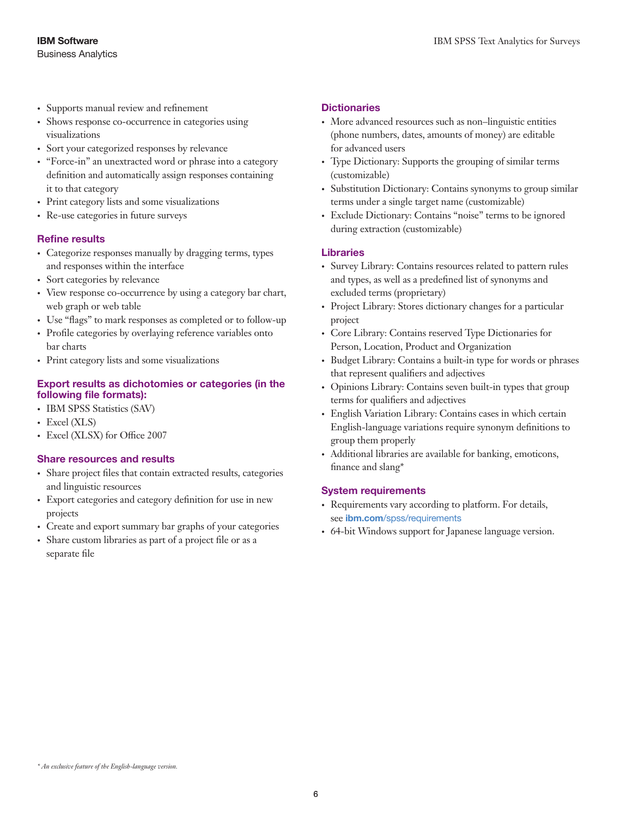- • Supports manual review and refinement
- Shows response co-occurrence in categories using visualizations
- • Sort your categorized responses by relevance
- • "Force-in" an unextracted word or phrase into a category definition and automatically assign responses containing it to that category
- Print category lists and some visualizations
- • Re-use categories in future surveys

#### Refine results

- • Categorize responses manually by dragging terms, types and responses within the interface
- Sort categories by relevance
- • View response co-occurrence by using a category bar chart, web graph or web table
- Use "flags" to mark responses as completed or to follow-up
- Profile categories by overlaying reference variables onto bar charts
- • Print category lists and some visualizations

## Export results as dichotomies or categories (in the following file formats):

- IBM SPSS Statistics (SAV)
- Excel (XLS)
- Excel (XLSX) for Office 2007

## Share resources and results

- Share project files that contain extracted results, categories and linguistic resources
- • Export categories and category definition for use in new projects
- • Create and export summary bar graphs of your categories
- Share custom libraries as part of a project file or as a separate file

#### **Dictionaries**

- More advanced resources such as non–linguistic entities (phone numbers, dates, amounts of money) are editable for advanced users
- Type Dictionary: Supports the grouping of similar terms (customizable)
- Substitution Dictionary: Contains synonyms to group similar terms under a single target name (customizable)
- • Exclude Dictionary: Contains "noise" terms to be ignored during extraction (customizable)

## Libraries

- • Survey Library: Contains resources related to pattern rules and types, as well as a predefined list of synonyms and excluded terms (proprietary)
- • Project Library: Stores dictionary changes for a particular project
- • Core Library: Contains reserved Type Dictionaries for Person, Location, Product and Organization
- • Budget Library: Contains a built-in type for words or phrases that represent qualifiers and adjectives
- Opinions Library: Contains seven built-in types that group terms for qualifiers and adjectives
- English Variation Library: Contains cases in which certain English-language variations require synonym definitions to group them properly
- • Additional libraries are available for banking, emoticons, finance and slang\*

## System requirements

- • Requirements vary according to platform. For details, see **ibm.com**[/spss/requirements](http://www.ibm.com/spss/requirements)
- • 64-bit Windows support for Japanese language version.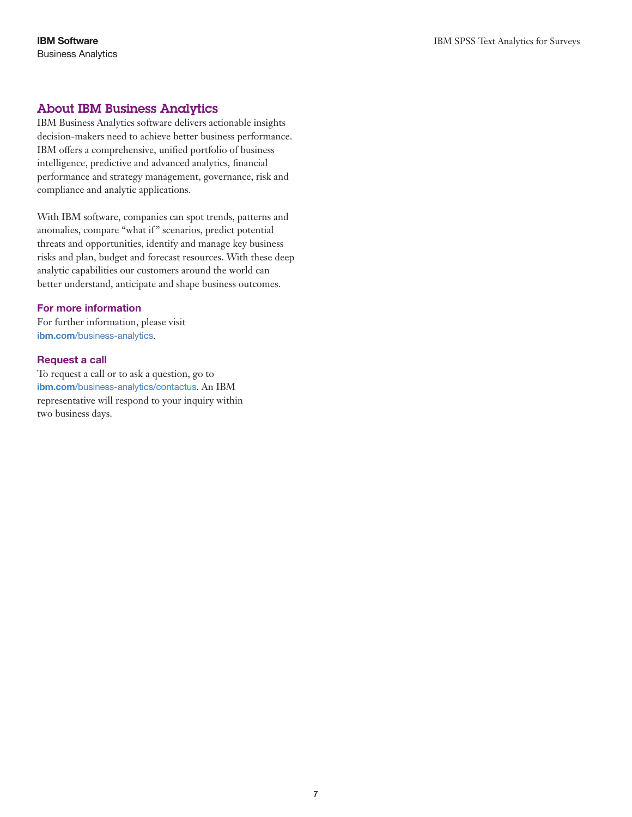# About IBM Business Analytics

IBM Business Analytics software delivers actionable insights decision-makers need to achieve better business performance. IBM offers a comprehensive, unified portfolio of business intelligence, predictive and advanced analytics, financial performance and strategy management, governance, risk and compliance and analytic applications.

With IBM software, companies can spot trends, patterns and anomalies, compare "what if" scenarios, predict potential threats and opportunities, identify and manage key business risks and plan, budget and forecast resources. With these deep analytic capabilities our customers around the world can better understand, anticipate and shape business outcomes.

# For more information

For further information, please visit ibm.com[/business-analytics](http://www.ibm.com/business-analytics).

# Request a call

To request a call or to ask a question, go to ibm.com[/business-analytics/contactus](http://www.ibm.com/business-analytics/contactus). An IBM representative will respond to your inquiry within two business days.